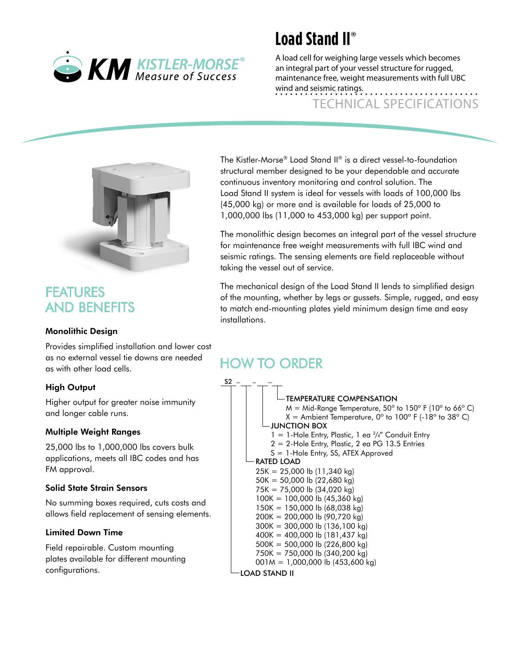

## **Load Stand II®**

A load cell for weighing large vessels which becomes an integral part of your vessel structure for rugged, maintenance free, weight measurements with full UBC wind and seismic ratings.

Technical Specifications

## FEATURES AND BENEFITS

#### Monolithic Design

Provides simplified installation and lower cost as no external vessel tie downs are needed as with other load cells.

#### High Output

Higher output for greater noise immunity and longer cable runs.

#### Multiple Weight Ranges

25,000 lbs to 1,000,000 lbs covers bulk applications, meets all IBC codes and has FM approval.

#### Solid State Strain Sensors

No summing boxes required, cuts costs and allows field replacement of sensing elements.

#### Limited Down Time

Field repairable. Custom mounting plates available for different mounting configurations.

The Kistler-Morse® Load Stand II® is a direct vessel-to-foundation structural member designed to be your dependable and accurate continuous inventory monitoring and control solution. The Load Stand II system is ideal for vessels with loads of 100,000 lbs (45,000 kg) or more and is available for loads of 25,000 to 1,000,000 lbs (11,000 to 453,000 kg) per support point.

The monolithic design becomes an integral part of the vessel structure for maintenance free weight measurements with full IBC wind and seismic ratings. The sensing elements are field replaceable without taking the vessel out of service.

The mechanical design of the Load Stand II lends to simplified design of the mounting, whether by legs or gussets. Simple, rugged, and easy to match end-mounting plates yield minimum design time and easy installations.

## How to order

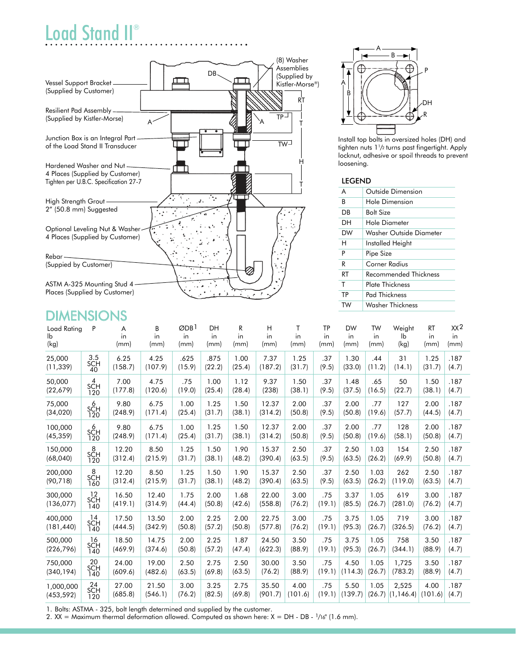# Load Stand II®



## **DIMENSIONS**

| Load Rating           | P                       | A                | B                | ODB <sup>1</sup> | DH             | R              | Н                | Τ              | <b>TP</b>     | <b>DW</b>      | <b>TW</b>      | Weight         | <b>RT</b>      | XX <sup>2</sup> |
|-----------------------|-------------------------|------------------|------------------|------------------|----------------|----------------|------------------|----------------|---------------|----------------|----------------|----------------|----------------|-----------------|
| lb                    |                         | in               | in               | in               | in             | in             | in               | in             | in            | in             | in             | lb             | in             | in              |
| (kg)                  |                         | (mm)             | (mm)             | (mm)             | (mm)           | (mm)           | (mm)             | (mm)           | (mm)          | (mm)           | (mm)           | (kg)           | (mm)           | (mm)            |
| 25,000<br>(11, 339)   | 3.5<br><b>SCH</b><br>40 | 6.25<br>(158.7)  | 4.25<br>(107.9)  | .625<br>(15.9)   | .875<br>(22.2) | 1.00<br>(25.4) | 7.37<br>(187.2)  | 1.25<br>(31.7) | .37<br>(9.5)  | 1.30<br>(33.0) | .44<br>(11.2)  | 31<br>(14.1)   | 1.25<br>(31.7) | .187<br>(4.7)   |
| 50,000                | $s4$ H                  | 7.00             | 4.75             | .75              | 1.00           | 1.12           | 9.37             | 1.50           | .37           | 1.48           | .65            | 50             | 1.50           | .187            |
| (22, 679)             | 120                     | (177.8)          | (120.6)          | (19.0)           | (25.4)         | (28.4)         | (238)            | (38.1)         | (9.5)         | (37.5)         | (16.5)         | (22.7)         | (38.1)         | (4.7)           |
| 75,000                | 6                       | 9.80             | 6.75             | 1.00             | 1.25           | 1.50           | 12.37            | 2.00           | .37           | 2.00           | .77            | 127            | 2.00           | .187            |
| (34,020)              | SCH<br>120              | (248.9)          | (171.4)          | (25.4)           | (31.7)         | (38.1)         | (314.2)          | (50.8)         | (9.5)         | (50.8)         | (19.6)         | (57.7)         | (44.5)         | (4.7)           |
| 100,000<br>(45, 359)  | 6<br>SCH<br>120         | 9.80<br>(248.9)  | 6.75<br>(171.4)  | 1.00<br>(25.4)   | 1.25<br>(31.7) | 1.50<br>(38.1) | 12.37<br>(314.2) | 2.00<br>(50.8) | .37<br>(9.5)  | 2.00<br>(50.8) | .77<br>(19.6)  | 128<br>(58.1)  | 2.00<br>(50.8) | .187<br>(4.7)   |
| 150,000               | 8                       | 12.20            | 8.50             | 1.25             | 1.50           | 1.90           | 15.37            | 2.50           | .37           | 2.50           | 1.03           | 154            | 2.50           | .187            |
| (68,040)              | SCH<br>120              | (312.4)          | (215.9)          | (31.7)           | (38.1)         | (48.2)         | (390.4)          | (63.5)         | (9.5)         | (63.5)         | (26.2)         | (69.9)         | (50.8)         | (4.7)           |
| 200,000               | 8                       | 12.20            | 8.50             | 1.25             | 1.50           | 1.90           | 15.37            | 2.50           | .37           | 2.50           | 1.03           | 262            | 2.50           | .187            |
| (90, 718)             | SCH<br>160              | (312.4)          | (215.9)          | (31.7)           | (38.1)         | (48.2)         | (390.4)          | (63.5)         | (9.5)         | (63.5)         | (26.2)         | (119.0)        | (63.5)         | (4.7)           |
| 300,000               | ${}^{12}_{\text{SCH}}$  | 16.50            | 12.40            | 1.75             | 2.00           | 1.68           | 22.00            | 3.00           | .75           | 3.37           | 1.05           | 619            | 3.00           | .187            |
| (136, 077)            | 140                     | (419.1)          | (314.9)          | (44.4)           | (50.8)         | (42.6)         | (558.8)          | (76.2)         | (19.1)        | (85.5)         | (26.7)         | (281.0)        | (76.2)         | (4.7)           |
| 400,000<br>(181, 440) | 14<br>SCH<br>140        | 17.50<br>(444.5) | 13.50<br>(342.9) | 2.00<br>(50.8)   | 2.25<br>(57.2) | 2.00<br>(50.8) | 22.75<br>(577.8) | 3.00<br>(76.2) | .75<br>(19.1) | 3.75<br>(95.3) | 1.05<br>(26.7) | 719<br>(326.5) | 3.00<br>(76.2) | .187<br>(4.7)   |
| 500,000               | 16                      | 18.50            | 14.75            | 2.00             | 2.25           | 1.87           | 24.50            | 3.50           | .75           | 3.75           | 1.05           | 758            | 3.50           | .187            |
| (226, 796)            | SCH<br>140              | (469.9)          | (374.6)          | (50.8)           | (57.2)         | (47.4)         | (622.3)          | (88.9)         | (19.1)        | (95.3)         | (26.7)         | (344.1)        | (88.9)         | (4.7)           |
| 750,000               | 20                      | 24.00            | 19.00            | 2.50             | 2.75           | 2.50           | 30.00            | 3.50           | .75           | 4.50           | 1.05           | 1,725          | 3.50           | .187            |
| (340, 194)            | <b>SCH</b><br>140       | (609.6)          | (482.6)          | (63.5)           | (69.8)         | (63.5)         | (76.2)           | (88.9)         | (19.1)        | (114.3)        | (26.7)         | (783.2)        | (88.9)         | (4.7)           |
| 1,000,000             | ${}^{24}_{\text{SCH}}$  | 27.00            | 21.50            | 3.00             | 3.25           | 2.75           | 35.50            | 4.00           | .75           | 5.50           | 1.05           | 2,525          | 4.00           | .187            |
| (453, 592)            | 120                     | (685.8)          | (546.1)          | (76.2)           | (82.5)         | (69.8)         | (901.7)          | (101.6)        | (19.1)        | (139.7)        | (26.7)         | (1, 146.4)     | (101.6)        | (4.7)           |

1. Bolts: ASTMA - 325, bolt length determined and supplied by the customer.

A B A P A B DH R

Install top bolts in oversized holes (DH) and tighten nuts 11 /2 turns past fingertight. Apply locknut, adhesive or spoil threads to prevent loosening.

#### leGend

| A  | Outside Dimension       |
|----|-------------------------|
| B  | Hole Dimension          |
| DB | Bolt Size               |
| DН | Hole Diameter           |
| DW | Washer Outside Diameter |
| н  | Installed Height        |
| P  | Pipe Size               |
| R  | Corner Radius           |
| RT | Recommended Thickness   |
| т  | Plate Thickness         |
| TP | Pad Thickness           |
| TW | Washer Thickness        |

2. XX = Maximum thermal deformation allowed. Computed as shown here:  $X = DH - DB - \frac{1}{16}$ " (1.6 mm).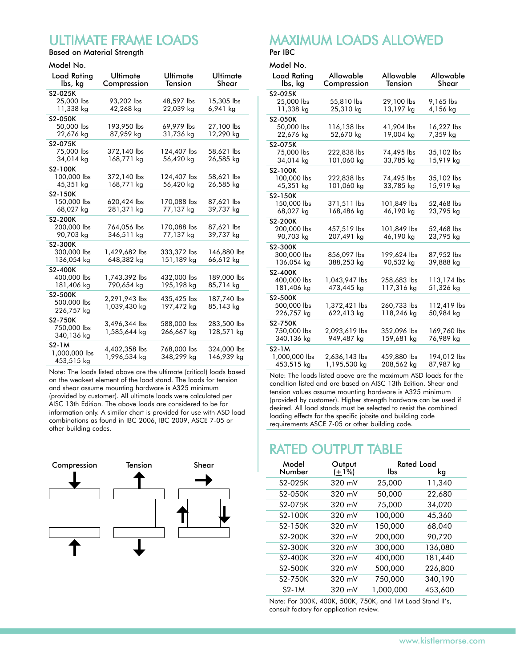## Ultimate frame loads

Based on Material Strength Model No.

| model INO.                    |                         |                     |                   |
|-------------------------------|-------------------------|---------------------|-------------------|
| <b>Load Rating</b><br>lbs, kg | Ultimate<br>Compression | Ultimate<br>Tension | Ultimate<br>Shear |
| S2-025K                       |                         |                     |                   |
| 25,000 lbs                    | 93.202 lbs              | 48,597 lbs          | 15,305 lbs        |
| 11,338 kg                     | 42,268 kg               | 22,039 kg           | 6,941 kg          |
| S2-050K                       |                         |                     |                   |
| 50,000 lbs                    | 193,950 lbs             | 69,979 lbs          | 27,100 lbs        |
| 22,676 kg                     | 87,959 kg               | 31,736 kg           | 12,290 kg         |
|                               |                         |                     |                   |
| S2-075K                       |                         |                     |                   |
| 75,000 lbs                    | 372,140 lbs             | 124,407 lbs         | 58,621 lbs        |
| 34,014 kg                     | 168,771 kg              | 56,420 kg           | 26,585 kg         |
| S2-100K                       |                         |                     |                   |
| 100,000 lbs                   | 372,140 lbs             | 124,407 lbs         | 58,621 lbs        |
| 45,351 kg                     | 168,771 kg              | 56,420 kg           | 26,585 kg         |
| S2-150K                       |                         |                     |                   |
| 150,000 lbs                   | 620,424 lbs             | 170,088 lbs         | 87,621 lbs        |
| 68,027 kg                     | 281,371 kg              | 77,137 kg           | 39,737 kg         |
| S2-200K                       |                         |                     |                   |
| 200,000 lbs                   | 764,056 lbs             | 170.088 lbs         | 87,621 lbs        |
| 90,703 kg                     | 346,511 kg              | 77,137 kg           | 39,737 kg         |
|                               |                         |                     |                   |
| S2-300K                       |                         |                     |                   |
| 300,000 lbs                   | 1,429,682 lbs           | 333,372 lbs         | 146,880 lbs       |
| 136,054 kg                    | 648,382 kg              | 151,189 kg          | 66,612 kg         |
| S2-400K                       |                         |                     |                   |
| 400,000 lbs                   | 1,743,392 lbs           | 432,000 lbs         | 189,000 lbs       |
| 181,406 kg                    | 790,654 kg              | 195,198 kg          | 85,714 kg         |
| S2-500K                       |                         |                     |                   |
| 500,000 lbs                   | 2,291,943 lbs           | 435,425 lbs         | 187,740 lbs       |
| 226,757 kg                    | 1,039,430 kg            | 197,472 kg          | 85,143 kg         |
| S2-750K                       |                         |                     |                   |
| 750,000 lbs                   | 3,496,344 lbs           | 588,000 lbs         | 283,500 lbs       |
| 340,136 kg                    | 1,585,644 kg            | 266,667 kg          | 128,571 kg        |
|                               |                         |                     |                   |
| $S2-1M$                       | 4,402,358 lbs           | 768,000 lbs         | 324,000 lbs       |
| 1,000,000 lbs                 | 1,996,534 kg            | 348,299 kg          | 146,939 kg        |
| 453,515 kg                    |                         |                     |                   |

Note: The loads listed above are the ultimate (critical) loads based on the weakest element of the load stand. The loads for tension and shear assume mounting hardware is A325 minimum (provided by customer). All ultimate loads were calculated per AISC 13th Edition. The above loads are considered to be for information only. A similar chart is provided for use with ASD load combinations as found in IBC 2006, IBC 2009, ASCE 7-05 or other building codes.



### maximum loads allowed Per IBC

Model No.

| טרו ושטעויו.           |                          |                      |                    |
|------------------------|--------------------------|----------------------|--------------------|
| Load Rating<br>lbs, kg | Allowable<br>Compression | Allowable<br>Tension | Allowable<br>Shear |
| S2-025K                |                          |                      |                    |
| 25,000 lbs             | 55,810 lbs               | 29,100 lbs           | 9,165 lbs          |
| 11,338 kg              | 25,310 kg                | 13,197 kg            | 4,156 kg           |
|                        |                          |                      |                    |
| S2-050K                |                          |                      |                    |
| 50,000 lbs             | 116,138 lbs              | 41,904 lbs           | 16,227 lbs         |
| 22,676 kg              | 52,670 kg                | 19,004 kg            | 7,359 kg           |
| S2-075K                |                          |                      |                    |
| 75,000 lbs             | 222,838 lbs              | 74,495 lbs           | 35,102 lbs         |
| 34,014 kg              | 101,060 kg               | 33,785 kg            | 15,919 kg          |
| S2-100K                |                          |                      |                    |
| 100,000 lbs            | 222,838 lbs              | 74,495 lbs           | 35,102 lbs         |
| 45,351 kg              | 101,060 kg               | 33,785 kg            | 15,919 kg          |
| S2-150K                |                          |                      |                    |
| 150,000 lbs            | 371,511 lbs              | 101,849 lbs          | 52,468 lbs         |
| 68,027 kg              | 168,486 kg               | 46,190 kg            | 23,795 kg          |
|                        |                          |                      |                    |
| S2-200K                |                          |                      |                    |
| 200,000 lbs            | 457,519 lbs              | 101,849 lbs          | 52,468 lbs         |
| 90,703 kg              | 207,491 kg               | 46,190 kg            | 23,795 kg          |
| S2-300K                |                          |                      |                    |
| 300,000 lbs            | 856,097 lbs              | 199,624 lbs          | 87,952 lbs         |
| 136,054 kg             | 388,253 kg               | 90,532 kg            | 39,888 kg          |
| S2-400K                |                          |                      |                    |
| 400,000 lbs            | 1,043,947 lbs            | 258,683 lbs          | 113,174 lbs        |
| 181,406 kg             | 473,445 kg               | 117,316 kg           | 51,326 kg          |
| S2-500K                |                          |                      |                    |
|                        |                          |                      |                    |
| 500,000 lbs            | 1,372,421 lbs            | 260,733 lbs          | 112,419 lbs        |
| 226,757 kg             | 622,413 kg               | 118,246 kg           | 50,984 kg          |
| S2-750K                |                          |                      |                    |
| 750,000 lbs            | 2,093,619 lbs            | 352,096 lbs          | 169,760 lbs        |
| 340,136 kg             | 949,487 kg               | 159,681 kg           | 76,989 kg          |
| $S2 - 1M$              |                          |                      |                    |
| 1,000,000 lbs          | 2,636,143 lbs            | 459,880 lbs          | 194,012 lbs        |
| 453,515 kg             | 1,195,530 kg             | 208,562 kg           | 87,987 kg          |

Note: The loads listed above are the maximum ASD loads for the condition listed and are based on AISC 13th Edition. Shear and tension values assume mounting hardware is A325 minimum (provided by customer). Higher strength hardware can be used if desired. All load stands must be selected to resist the combined loading effects for the specific jobsite and building code requirements ASCE 7-05 or other building code.

## RATED OUTPUT TABLE

| Model<br>Number | Output<br>$(\pm 1\%)$ | lbs       | <b>Rated Load</b><br>kg |
|-----------------|-----------------------|-----------|-------------------------|
| S2-025K         | 320 mV                | 25,000    | 11,340                  |
| S2-050K         | $320 \text{ mV}$      | 50,000    | 22,680                  |
| S2-075K         | $320 \text{ mV}$      | 75,000    | 34,020                  |
| S2-100K         | 320 mV                | 100,000   | 45,360                  |
| S2-150K         | $320 \text{ mV}$      | 150,000   | 68,040                  |
| S2-200K         | $320 \text{ mV}$      | 200,000   | 90,720                  |
| S2-300K         | $320 \text{ mV}$      | 300,000   | 136,080                 |
| S2-400K         | 320 mV                | 400,000   | 181,440                 |
| S2-500K         | $320 \text{ mV}$      | 500,000   | 226,800                 |
| S2-750K         | $320 \text{ mV}$      | 750,000   | 340,190                 |
| S2-1M           | $320 \text{ mV}$      | 1,000,000 | 453,600                 |

Note: For 300K, 400K, 500K, 750K, and 1M Load Stand II's, consult factory for application review.